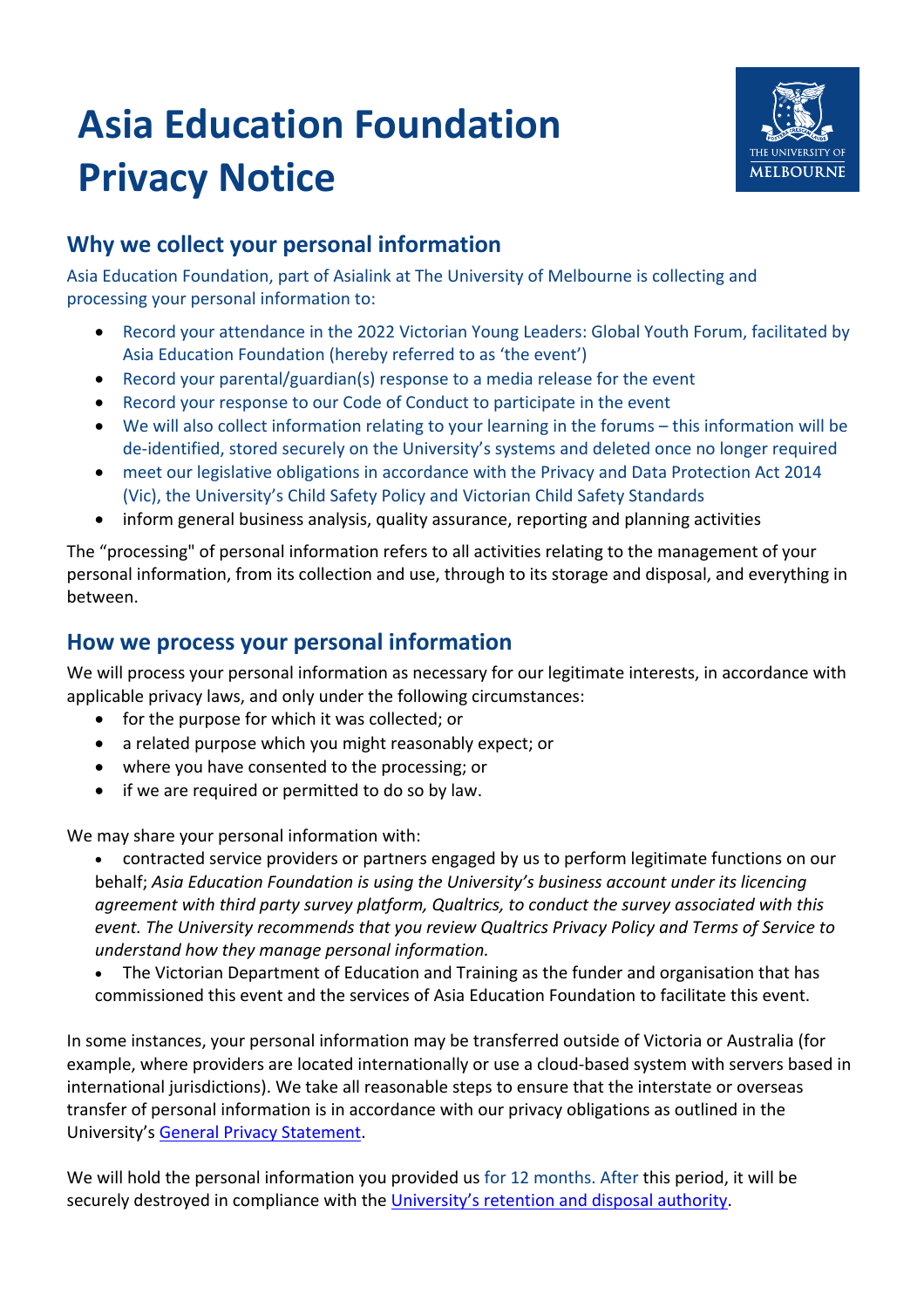# **Asia Education Foundation Privacy Notice**



## **Why we collect your personal information**

Asia Education Foundation, part of Asialink at The University of Melbourne is collecting and processing your personal information to:

- Record your attendance in the 2022 Victorian Young Leaders: Global Youth Forum, facilitated by Asia Education Foundation (hereby referred to as 'the event')
- Record your parental/guardian(s) response to a media release for the event
- Record your response to our Code of Conduct to participate in the event
- We will also collect information relating to your learning in the forums this information will be de-identified, stored securely on the University's systems and deleted once no longer required
- meet our legislative obligations in accordance with the Privacy and Data Protection Act 2014 (Vic), the University's Child Safety Policy and Victorian Child Safety Standards
- inform general business analysis, quality assurance, reporting and planning activities

The "processing" of personal information refers to all activities relating to the management of your personal information, from its collection and use, through to its storage and disposal, and everything in between.

## **How we process your personal information**

We will process your personal information as necessary for our legitimate interests, in accordance with applicable privacy laws, and only under the following circumstances:

- for the purpose for which it was collected; or
- a related purpose which you might reasonably expect; or
- where you have consented to the processing; or
- if we are required or permitted to do so by law.

We may share your personal information with:

- contracted service providers or partners engaged by us to perform legitimate functions on our behalf; *Asia Education Foundation is using the University's business account under its licencing agreement with third party survey platform, Qualtrics, to conduct the survey associated with this event. The University recommends that you review Qualtrics Privacy Policy and Terms of Service to understand how they manage personal information.*
- The Victorian Department of Education and Training as the funder and organisation that has commissioned this event and the services of Asia Education Foundation to facilitate this event.

In some instances, your personal information may be transferred outside of Victoria or Australia (for example, where providers are located internationally or use a cloud-based system with servers based in international jurisdictions). We take all reasonable steps to ensure that the interstate or overseas transfer of personal information is in accordance with our privacy obligations as outlined in the University's General Privacy Statement.

We will hold the personal information you provided us for 12 months. After this period, it will be securely destroyed in compliance with the University's retention and disposal authority.